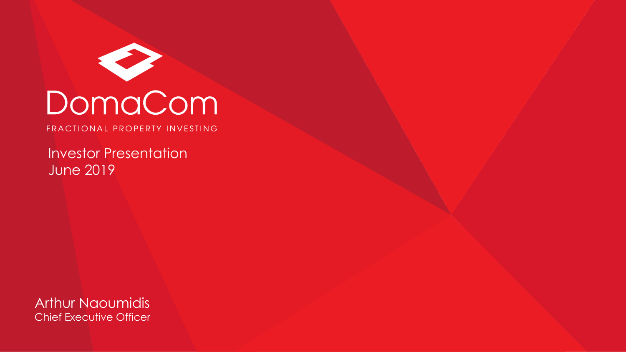

# DomaCom

FRACTIONAL PROPERTY INVESTING

Investor Presentation June 2019

Arthur Naoumidis Chief Executive Officer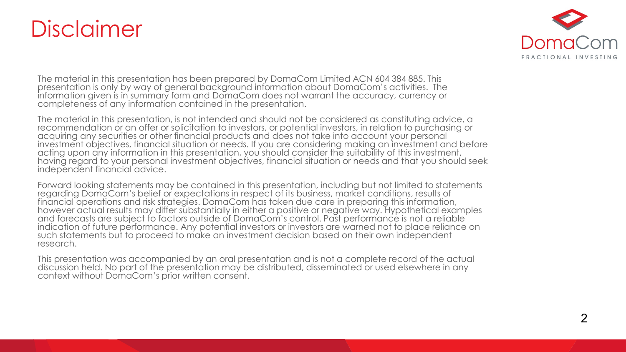## Disclaimer



The material in this presentation has been prepared by DomaCom Limited ACN 604 384 885. This presentation is only by way of general background information about DomaCom's activities. The information given is in summary form and DomaCom does not warrant the accuracy, currency or completeness of any information contained in the presentation.

The material in this presentation, is not intended and should not be considered as constituting advice, a recommendation or an offer or solicitation to investors, or potential investors, in relation to purchasing or acquiring any securities or other financial products and does not take into account your personal investment objectives, financial situation or needs. If you are considering making an investment and before acting upon any information in this presentation, you should consider the suitability of this investment, having regard to your personal investment objectives, financial situation or needs and that you should seek independent financial advice.

Forward looking statements may be contained in this presentation, including but not limited to statements regarding DomaCom's belief or expectations in respect of its business, market conditions, results of financial operations and risk strategies. DomaCom has taken due care in preparing this information, however actual results may differ substantially in either a positive or negative way. Hypothetical examples and forecasts are subject to factors outside of DomaCom's control. Past performance is not a reliable indication of future performance. Any potential investors or investors are warned not to place reliance on such statements but to proceed to make an investment decision based on their own independent research.

This presentation was accompanied by an oral presentation and is not a complete record of the actual discussion held. No part of the presentation may be distributed, disseminated or used elsewhere in any context without DomaCom's prior written consent.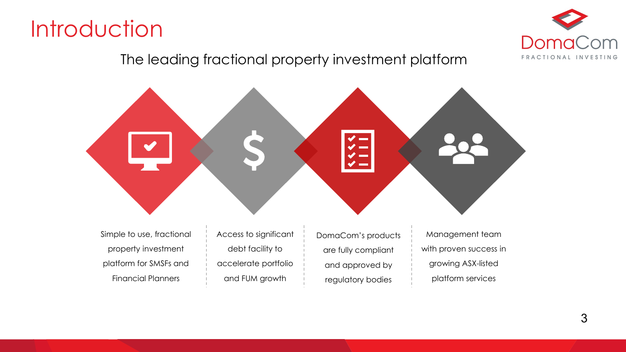



#### The leading fractional property investment platform



Simple to use, fractional property investment platform for SMSFs and Financial Planners

Access to significant debt facility to accelerate portfolio and FUM growth

DomaCom's products are fully compliant and approved by regulatory bodies

Management team with proven success in growing ASX-listed platform services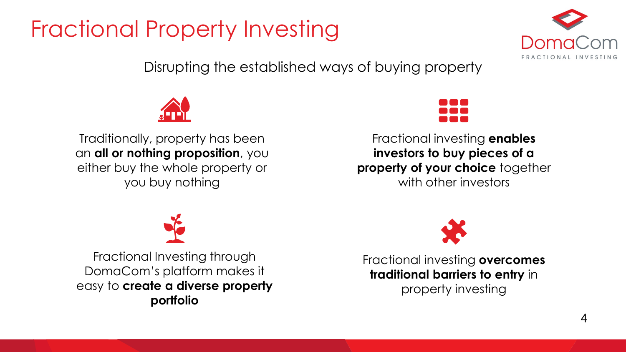# Fractional Property Investing



Disrupting the established ways of buying property



Traditionally, property has been an **all or nothing proposition**, you either buy the whole property or you buy nothing



Fractional investing **enables investors to buy pieces of a property of your choice** together with other investors



Fractional Investing through DomaCom's platform makes it easy to **create a diverse property portfolio**



Fractional investing **overcomes traditional barriers to entry** in property investing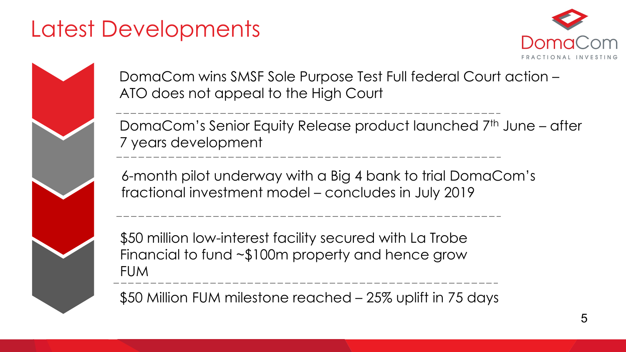## Latest Developments





DomaCom wins SMSF Sole Purpose Test Full federal Court action – ATO does not appeal to the High Court

DomaCom's Senior Equity Release product launched 7<sup>th</sup> June – after 7 years development

6-month pilot underway with a Big 4 bank to trial DomaCom's fractional investment model – concludes in July 2019

\$50 million low-interest facility secured with La Trobe Financial to fund ~\$100m property and hence grow FUM

\$50 Million FUM milestone reached – 25% uplift in 75 days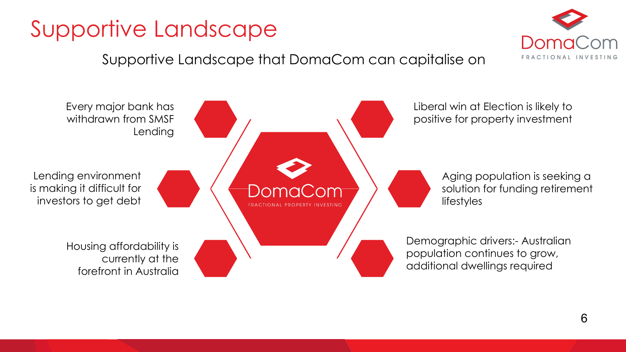# Supportive Landscape



#### Supportive Landscape that DomaCom can capitalise on

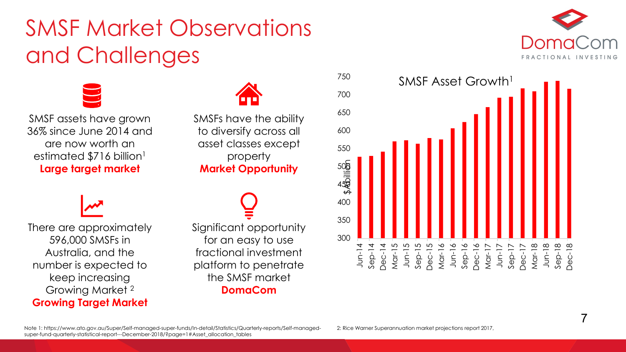## SMSF Market Observations and Challenges



SMSF assets have grown 36% since June 2014 and are now worth an estimated \$716 billion<sup>1</sup> **Large target market**

SMSFs have the ability to diversify across all asset classes except property **Market Opportunity**

There are approximately 596,000 SMSFs in Australia, and the number is expected to keep increasing Growing Market 2 **Growing Target Market**

Significant opportunity for an easy to use fractional investment platform to penetrate the SMSF market **DomaCom**



Note 1: https://www.ato.gov.au/Super/Self-managed-super-funds/In-detail/Statistics/Quarterly-reports/Self-managedsuper-fund-quarterly-statistical-report---December-2018/?page=1#Asset\_allocation\_tables

2: Rice Warner Superannuation market projections report 2017,

DomaCom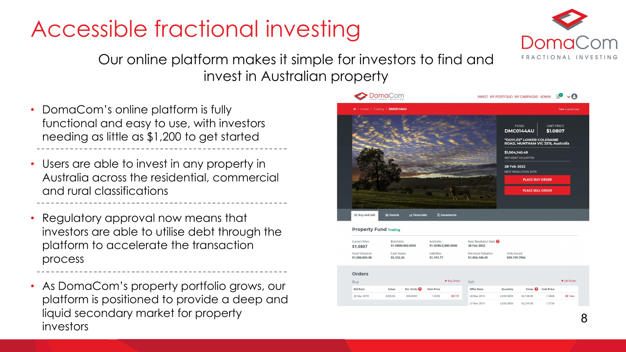# Accessible fractional investing



Our online platform makes it simple for investors to find and invest in Australian property

- DomaCom's online platform is fully functional and easy to use, with investors needing as little as \$1,200 to get started
- Users are able to invest in any property in Australia across the residential, commercial and rural classifications
- Regulatory approval now means that investors are able to utilise debt through the platform to accelerate the transaction process
- As DomaCom's property portfolio grows, our platform is positioned to provide a deep and liquid secondary market for property investors



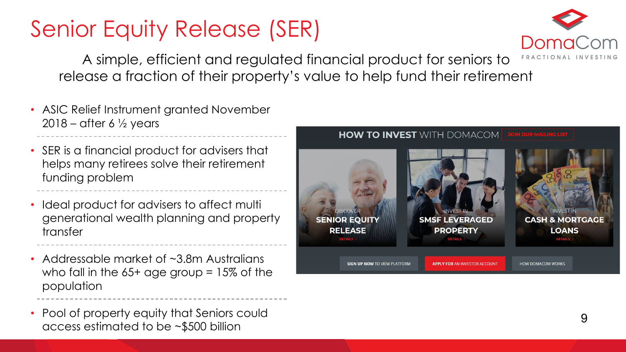# Senior Equity Release (SER)



A simple, efficient and regulated financial product for seniors to release a fraction of their property's value to help fund their retirement

- ASIC Relief Instrument granted November 2018 – after 6  $\frac{1}{2}$  years
- SER is a financial product for advisers that helps many retirees solve their retirement funding problem
- Ideal product for advisers to affect multi generational wealth planning and property transfer
- Addressable market of ~3.8m Australians who fall in the  $65+$  age group =  $15\%$  of the population
- Pool of property equity that Seniors could access estimated to be ~\$500 billion

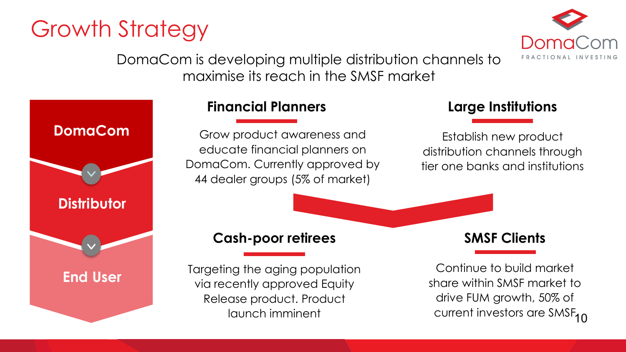## Growth Strategy



DomaCom is developing multiple distribution channels to maximise its reach in the SMSF market



#### **Financial Planners**

Grow product awareness and educate financial planners on DomaCom. Currently approved by 44 dealer groups (5% of market)

#### **Large Institutions**

Establish new product distribution channels through tier one banks and institutions

#### **Cash-poor retirees**

Targeting the aging population via recently approved Equity Release product. Product launch imminent

#### **SMSF Clients**

current investors are SMSF<sub>10</sub> Continue to build market share within SMSF market to drive FUM growth, 50% of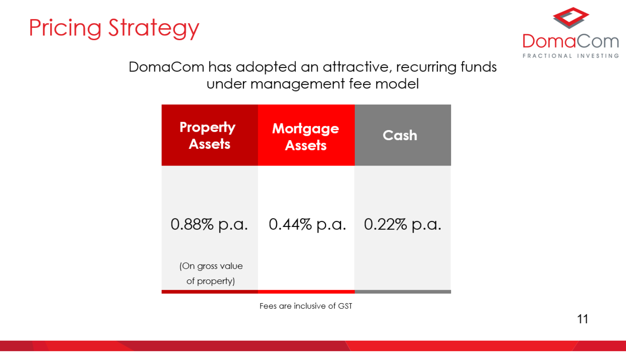



### DomaCom has adopted an attractive, recurring funds under management fee model

| <b>Property</b><br><b>Assets</b> | <b>Mortgage</b><br><b>Assets</b> | Cash          |
|----------------------------------|----------------------------------|---------------|
| 0.88% p.a.                       | $0.44\%$ p.a.                    | $0.22\%$ p.a. |
| (On gross value<br>of property)  |                                  |               |

Fees are inclusive of GST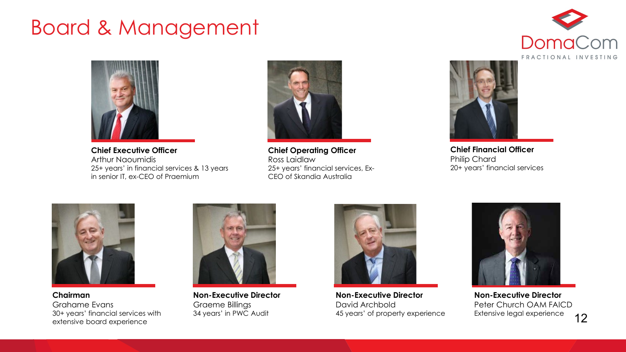## Board & Management



**Chief Executive Officer** Arthur Naoumidis 25+ years' in financial services & 13 years in senior IT, ex-CEO of Praemium



**Chief Operating Officer** Ross Laidlaw 25+ years' financial services, Ex-CEO of Skandia Australia





**Chief Financial Officer** Philip Chard 20+ years' financial services



**Chairman**  Grahame Evans 30+ years' financial services with extensive board experience



**Non-Executive Director** Graeme Billings 34 years' in PWC Audit



**Non-Executive Director** David Archbold 45 years' of property experience



12 **Non-Executive Director** Peter Church OAM FAICD Extensive legal experience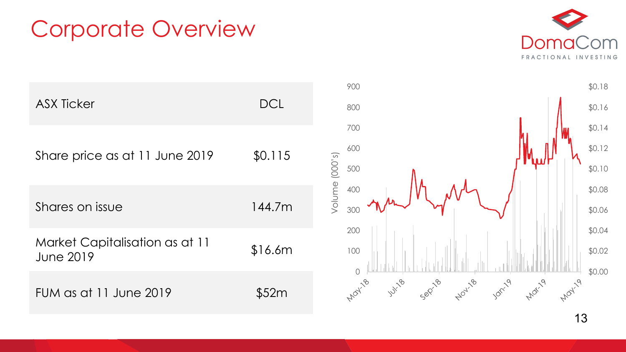## Corporate Overview





13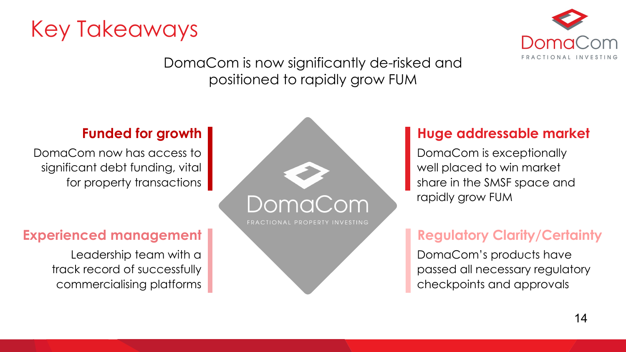



DomaCom is now significantly de-risked and positioned to rapidly grow FUM

#### **Funded for growth**

DomaCom now has access to significant debt funding, vital for property transactions

## **Experienced management**

Leadership team with a track record of successfully commercialising platforms



## **Huge addressable market**

DomaCom is exceptionally well placed to win market share in the SMSF space and rapidly grow FUM

## **Regulatory Clarity/Certainty**

DomaCom's products have passed all necessary regulatory checkpoints and approvals